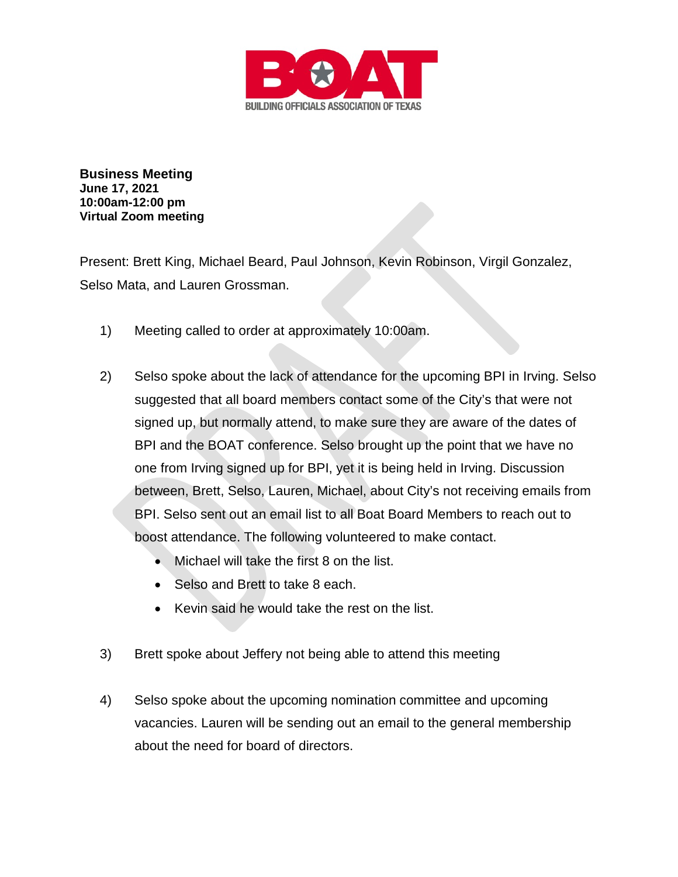

**Business Meeting June 17, 2021 10:00am-12:00 pm Virtual Zoom meeting**

Present: Brett King, Michael Beard, Paul Johnson, Kevin Robinson, Virgil Gonzalez, Selso Mata, and Lauren Grossman.

- 1) Meeting called to order at approximately 10:00am.
- 2) Selso spoke about the lack of attendance for the upcoming BPI in Irving. Selso suggested that all board members contact some of the City's that were not signed up, but normally attend, to make sure they are aware of the dates of BPI and the BOAT conference. Selso brought up the point that we have no one from Irving signed up for BPI, yet it is being held in Irving. Discussion between, Brett, Selso, Lauren, Michael, about City's not receiving emails from BPI. Selso sent out an email list to all Boat Board Members to reach out to boost attendance. The following volunteered to make contact.
	- Michael will take the first 8 on the list.
	- Selso and Brett to take 8 each.
	- Kevin said he would take the rest on the list.
- 3) Brett spoke about Jeffery not being able to attend this meeting
- 4) Selso spoke about the upcoming nomination committee and upcoming vacancies. Lauren will be sending out an email to the general membership about the need for board of directors.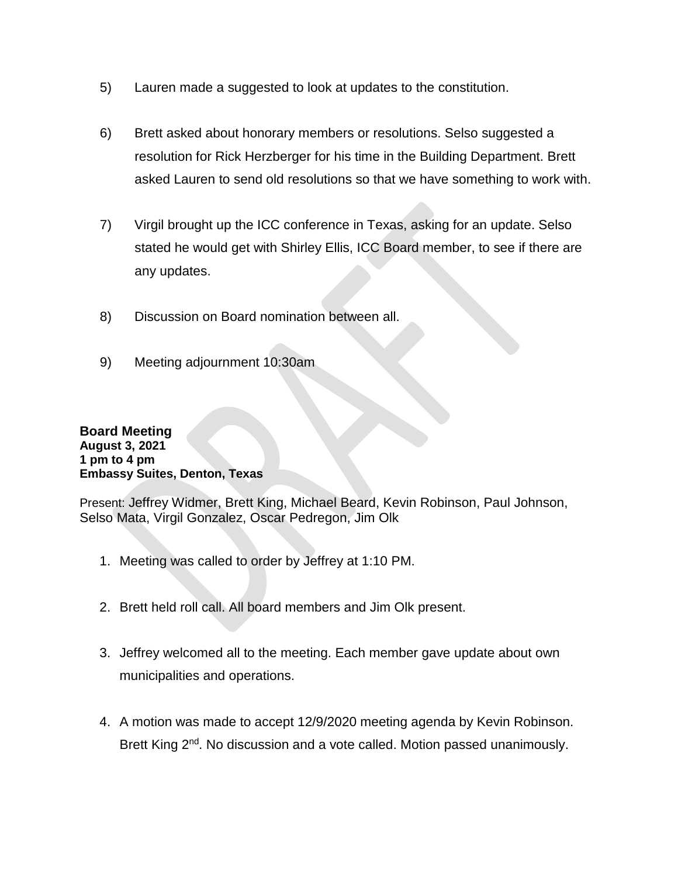- 5) Lauren made a suggested to look at updates to the constitution.
- 6) Brett asked about honorary members or resolutions. Selso suggested a resolution for Rick Herzberger for his time in the Building Department. Brett asked Lauren to send old resolutions so that we have something to work with.
- 7) Virgil brought up the ICC conference in Texas, asking for an update. Selso stated he would get with Shirley Ellis, ICC Board member, to see if there are any updates.
- 8) Discussion on Board nomination between all.
- 9) Meeting adjournment 10:30am

## **Board Meeting August 3, 2021 1 pm to 4 pm Embassy Suites, Denton, Texas**

Present: Jeffrey Widmer, Brett King, Michael Beard, Kevin Robinson, Paul Johnson, Selso Mata, Virgil Gonzalez, Oscar Pedregon, Jim Olk

- 1. Meeting was called to order by Jeffrey at 1:10 PM.
- 2. Brett held roll call. All board members and Jim Olk present.
- 3. Jeffrey welcomed all to the meeting. Each member gave update about own municipalities and operations.
- 4. A motion was made to accept 12/9/2020 meeting agenda by Kevin Robinson. Brett King 2<sup>nd</sup>. No discussion and a vote called. Motion passed unanimously.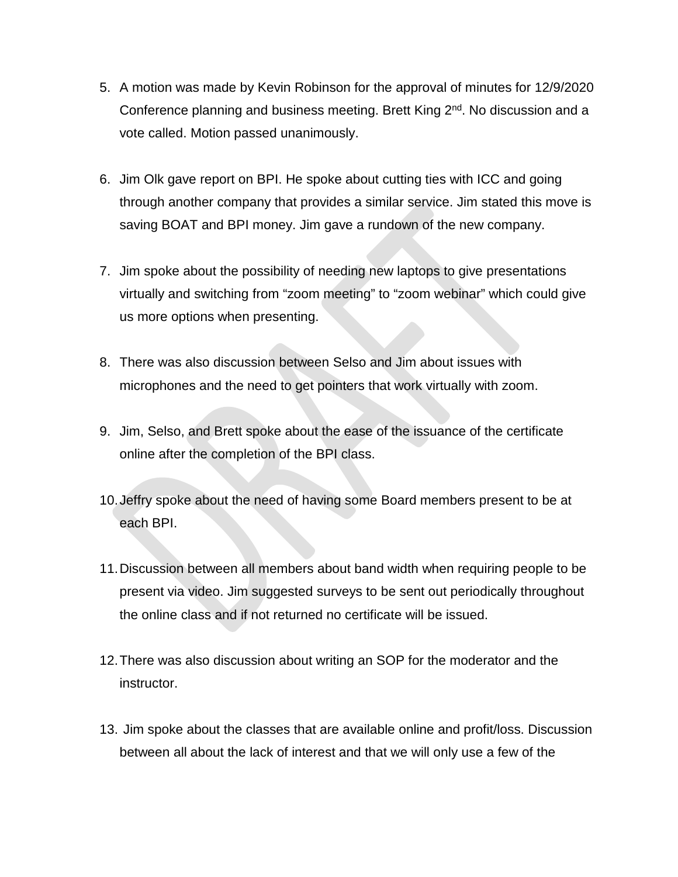- 5. A motion was made by Kevin Robinson for the approval of minutes for 12/9/2020 Conference planning and business meeting. Brett King 2<sup>nd</sup>. No discussion and a vote called. Motion passed unanimously.
- 6. Jim Olk gave report on BPI. He spoke about cutting ties with ICC and going through another company that provides a similar service. Jim stated this move is saving BOAT and BPI money. Jim gave a rundown of the new company.
- 7. Jim spoke about the possibility of needing new laptops to give presentations virtually and switching from "zoom meeting" to "zoom webinar" which could give us more options when presenting.
- 8. There was also discussion between Selso and Jim about issues with microphones and the need to get pointers that work virtually with zoom.
- 9. Jim, Selso, and Brett spoke about the ease of the issuance of the certificate online after the completion of the BPI class.
- 10.Jeffry spoke about the need of having some Board members present to be at each BPI.
- 11.Discussion between all members about band width when requiring people to be present via video. Jim suggested surveys to be sent out periodically throughout the online class and if not returned no certificate will be issued.
- 12.There was also discussion about writing an SOP for the moderator and the instructor.
- 13. Jim spoke about the classes that are available online and profit/loss. Discussion between all about the lack of interest and that we will only use a few of the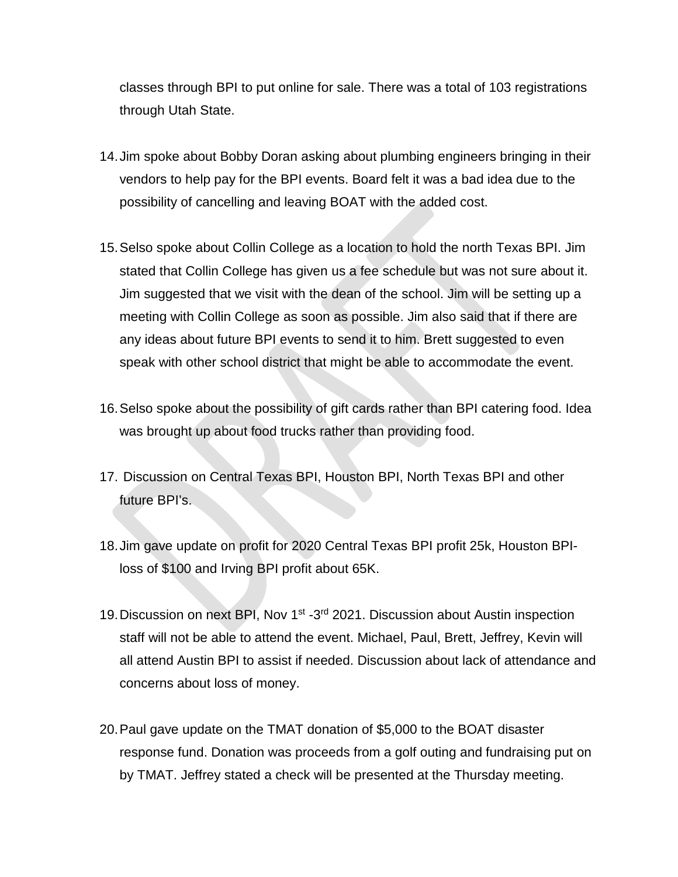classes through BPI to put online for sale. There was a total of 103 registrations through Utah State.

- 14.Jim spoke about Bobby Doran asking about plumbing engineers bringing in their vendors to help pay for the BPI events. Board felt it was a bad idea due to the possibility of cancelling and leaving BOAT with the added cost.
- 15.Selso spoke about Collin College as a location to hold the north Texas BPI. Jim stated that Collin College has given us a fee schedule but was not sure about it. Jim suggested that we visit with the dean of the school. Jim will be setting up a meeting with Collin College as soon as possible. Jim also said that if there are any ideas about future BPI events to send it to him. Brett suggested to even speak with other school district that might be able to accommodate the event.
- 16.Selso spoke about the possibility of gift cards rather than BPI catering food. Idea was brought up about food trucks rather than providing food.
- 17. Discussion on Central Texas BPI, Houston BPI, North Texas BPI and other future BPI's.
- 18.Jim gave update on profit for 2020 Central Texas BPI profit 25k, Houston BPIloss of \$100 and Irving BPI profit about 65K.
- 19. Discussion on next BPI, Nov 1<sup>st</sup> -3<sup>rd</sup> 2021. Discussion about Austin inspection staff will not be able to attend the event. Michael, Paul, Brett, Jeffrey, Kevin will all attend Austin BPI to assist if needed. Discussion about lack of attendance and concerns about loss of money.
- 20.Paul gave update on the TMAT donation of \$5,000 to the BOAT disaster response fund. Donation was proceeds from a golf outing and fundraising put on by TMAT. Jeffrey stated a check will be presented at the Thursday meeting.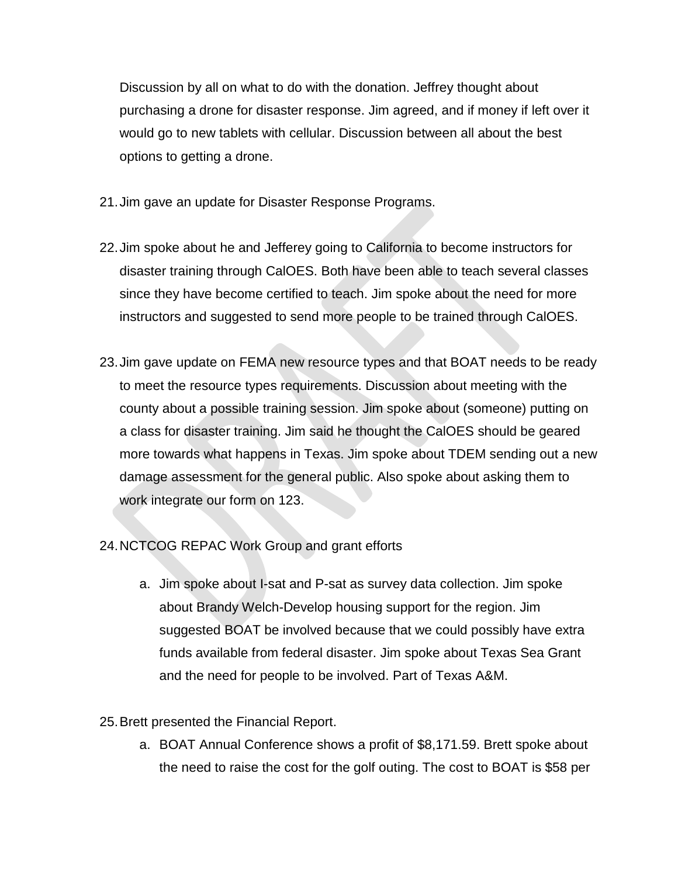Discussion by all on what to do with the donation. Jeffrey thought about purchasing a drone for disaster response. Jim agreed, and if money if left over it would go to new tablets with cellular. Discussion between all about the best options to getting a drone.

- 21.Jim gave an update for Disaster Response Programs.
- 22.Jim spoke about he and Jefferey going to California to become instructors for disaster training through CalOES. Both have been able to teach several classes since they have become certified to teach. Jim spoke about the need for more instructors and suggested to send more people to be trained through CalOES.
- 23.Jim gave update on FEMA new resource types and that BOAT needs to be ready to meet the resource types requirements. Discussion about meeting with the county about a possible training session. Jim spoke about (someone) putting on a class for disaster training. Jim said he thought the CalOES should be geared more towards what happens in Texas. Jim spoke about TDEM sending out a new damage assessment for the general public. Also spoke about asking them to work integrate our form on 123.
- 24.NCTCOG REPAC Work Group and grant efforts
	- a. Jim spoke about I-sat and P-sat as survey data collection. Jim spoke about Brandy Welch-Develop housing support for the region. Jim suggested BOAT be involved because that we could possibly have extra funds available from federal disaster. Jim spoke about Texas Sea Grant and the need for people to be involved. Part of Texas A&M.
- 25.Brett presented the Financial Report.
	- a. BOAT Annual Conference shows a profit of \$8,171.59. Brett spoke about the need to raise the cost for the golf outing. The cost to BOAT is \$58 per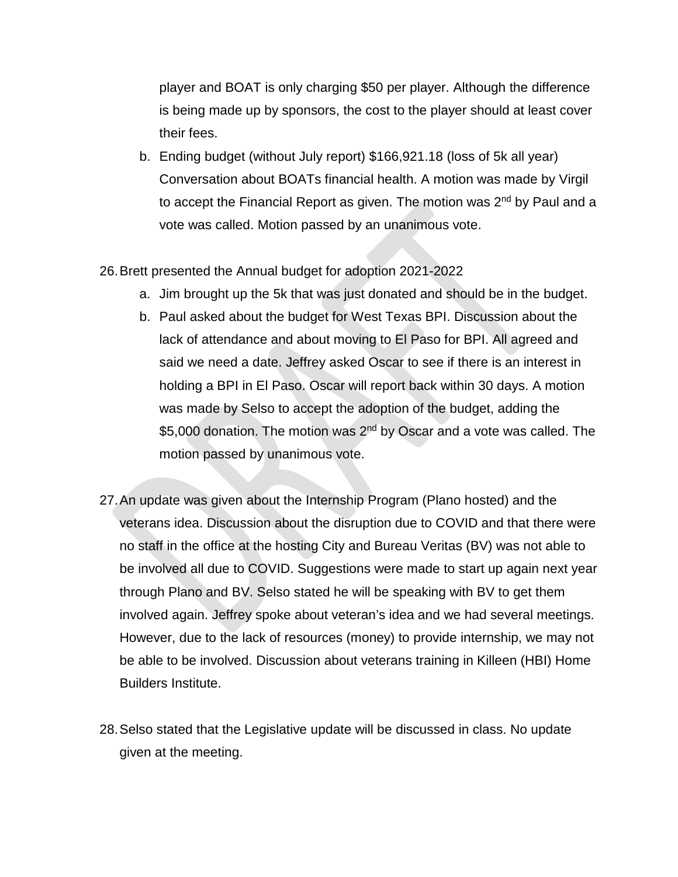player and BOAT is only charging \$50 per player. Although the difference is being made up by sponsors, the cost to the player should at least cover their fees.

b. Ending budget (without July report) \$166,921.18 (loss of 5k all year) Conversation about BOATs financial health. A motion was made by Virgil to accept the Financial Report as given. The motion was 2<sup>nd</sup> by Paul and a vote was called. Motion passed by an unanimous vote.

## 26.Brett presented the Annual budget for adoption 2021-2022

- a. Jim brought up the 5k that was just donated and should be in the budget.
- b. Paul asked about the budget for West Texas BPI. Discussion about the lack of attendance and about moving to El Paso for BPI. All agreed and said we need a date. Jeffrey asked Oscar to see if there is an interest in holding a BPI in El Paso. Oscar will report back within 30 days. A motion was made by Selso to accept the adoption of the budget, adding the \$5,000 donation. The motion was 2<sup>nd</sup> by Oscar and a vote was called. The motion passed by unanimous vote.
- 27.An update was given about the Internship Program (Plano hosted) and the veterans idea. Discussion about the disruption due to COVID and that there were no staff in the office at the hosting City and Bureau Veritas (BV) was not able to be involved all due to COVID. Suggestions were made to start up again next year through Plano and BV. Selso stated he will be speaking with BV to get them involved again. Jeffrey spoke about veteran's idea and we had several meetings. However, due to the lack of resources (money) to provide internship, we may not be able to be involved. Discussion about veterans training in Killeen (HBI) Home Builders Institute.
- 28.Selso stated that the Legislative update will be discussed in class. No update given at the meeting.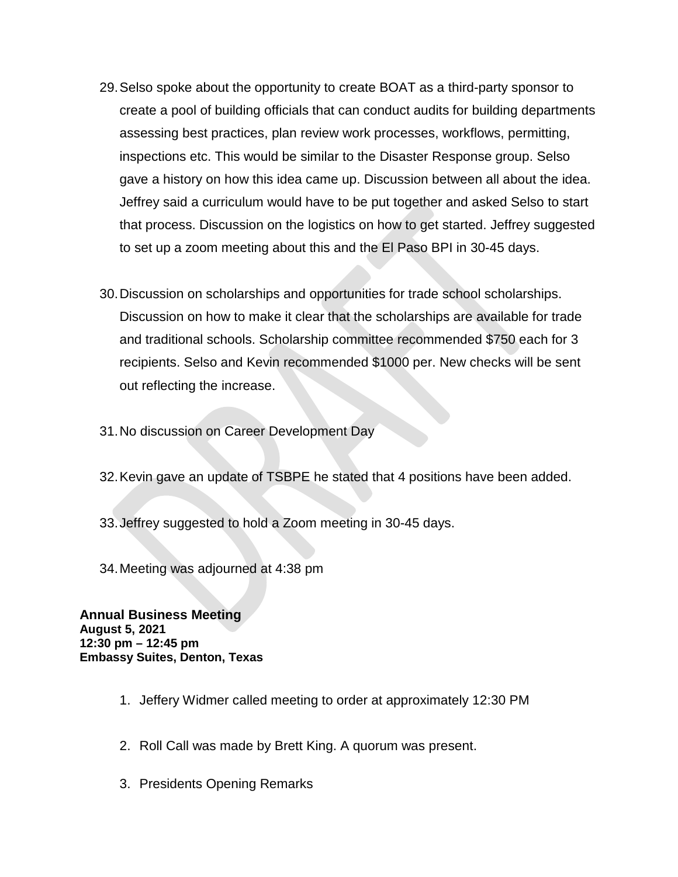- 29.Selso spoke about the opportunity to create BOAT as a third-party sponsor to create a pool of building officials that can conduct audits for building departments assessing best practices, plan review work processes, workflows, permitting, inspections etc. This would be similar to the Disaster Response group. Selso gave a history on how this idea came up. Discussion between all about the idea. Jeffrey said a curriculum would have to be put together and asked Selso to start that process. Discussion on the logistics on how to get started. Jeffrey suggested to set up a zoom meeting about this and the El Paso BPI in 30-45 days.
- 30.Discussion on scholarships and opportunities for trade school scholarships. Discussion on how to make it clear that the scholarships are available for trade and traditional schools. Scholarship committee recommended \$750 each for 3 recipients. Selso and Kevin recommended \$1000 per. New checks will be sent out reflecting the increase.
- 31.No discussion on Career Development Day
- 32.Kevin gave an update of TSBPE he stated that 4 positions have been added.
- 33.Jeffrey suggested to hold a Zoom meeting in 30-45 days.
- 34.Meeting was adjourned at 4:38 pm

**Annual Business Meeting August 5, 2021 12:30 pm – 12:45 pm Embassy Suites, Denton, Texas**

- 1. Jeffery Widmer called meeting to order at approximately 12:30 PM
- 2. Roll Call was made by Brett King. A quorum was present.
- 3. Presidents Opening Remarks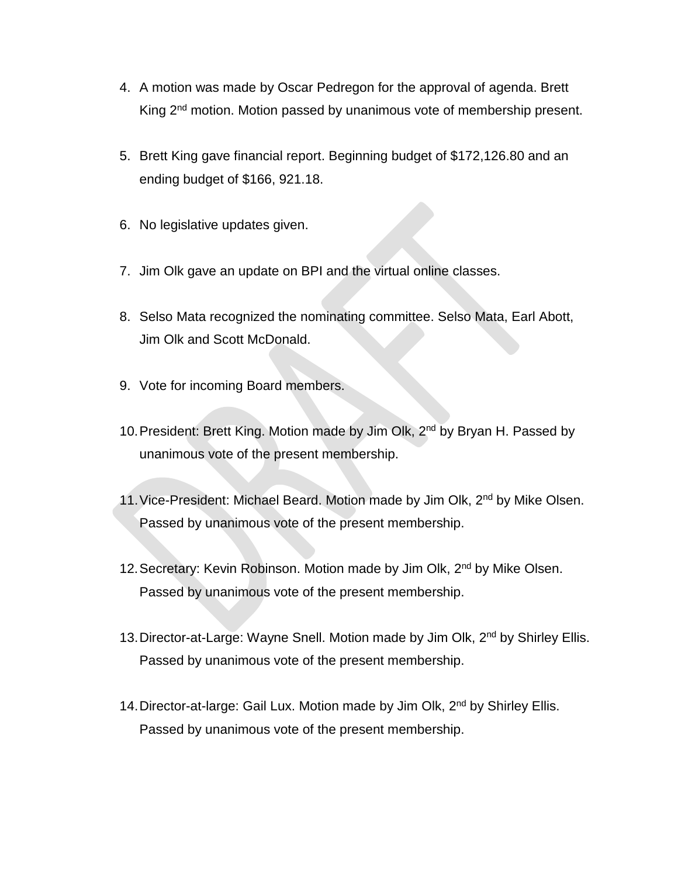- 4. A motion was made by Oscar Pedregon for the approval of agenda. Brett King 2<sup>nd</sup> motion. Motion passed by unanimous vote of membership present.
- 5. Brett King gave financial report. Beginning budget of \$172,126.80 and an ending budget of \$166, 921.18.
- 6. No legislative updates given.
- 7. Jim Olk gave an update on BPI and the virtual online classes.
- 8. Selso Mata recognized the nominating committee. Selso Mata, Earl Abott, Jim Olk and Scott McDonald.
- 9. Vote for incoming Board members.
- 10. President: Brett King. Motion made by Jim Olk, 2<sup>nd</sup> by Bryan H. Passed by unanimous vote of the present membership.
- 11. Vice-President: Michael Beard. Motion made by Jim Olk, 2<sup>nd</sup> by Mike Olsen. Passed by unanimous vote of the present membership.
- 12. Secretary: Kevin Robinson. Motion made by Jim Olk, 2<sup>nd</sup> by Mike Olsen. Passed by unanimous vote of the present membership.
- 13. Director-at-Large: Wayne Snell. Motion made by Jim Olk, 2<sup>nd</sup> by Shirley Ellis. Passed by unanimous vote of the present membership.
- 14. Director-at-large: Gail Lux. Motion made by Jim Olk, 2<sup>nd</sup> by Shirley Ellis. Passed by unanimous vote of the present membership.